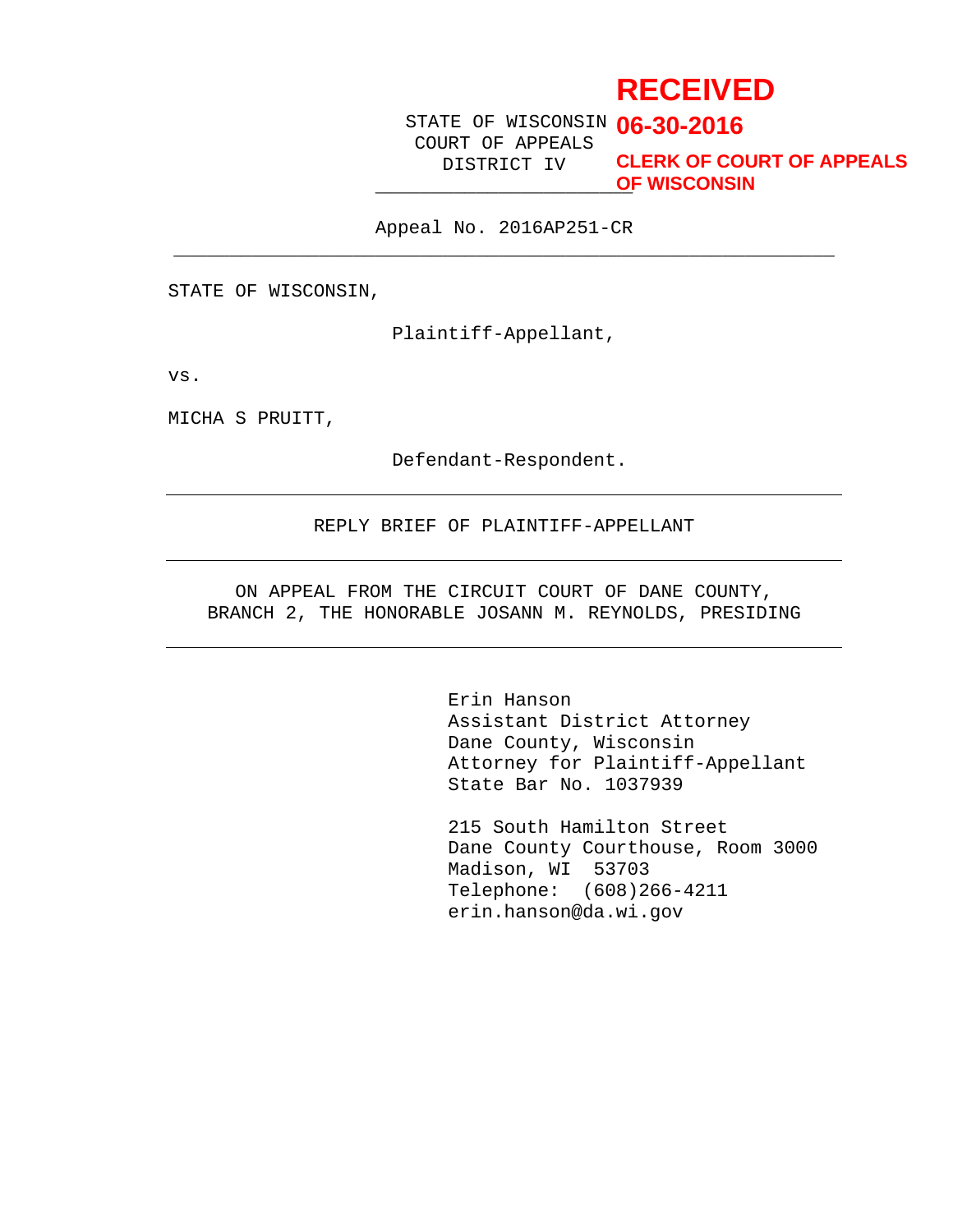# **RECEIVED**

STATE OF WISCONSIN **06-30-2016** COURT OF APPEALS DISTRICT IV

\_\_\_\_\_\_\_\_\_\_\_\_\_\_\_\_\_\_\_\_\_\_\_ **OF WISCONSINCLERK OF COURT OF APPEALS**

Appeal No. 2016AP251-CR  $\overline{\phantom{a}}$  , and the contribution of the contribution of  $\overline{\phantom{a}}$  ,  $\overline{\phantom{a}}$  ,  $\overline{\phantom{a}}$  ,  $\overline{\phantom{a}}$  ,  $\overline{\phantom{a}}$  ,  $\overline{\phantom{a}}$  ,  $\overline{\phantom{a}}$  ,  $\overline{\phantom{a}}$  ,  $\overline{\phantom{a}}$  ,  $\overline{\phantom{a}}$  ,  $\overline{\phantom{a}}$  ,  $\overline{\phantom{a$ 

STATE OF WISCONSIN,

Plaintiff-Appellant,

vs.

MICHA S PRUITT,

Defendant-Respondent.

#### REPLY BRIEF OF PLAINTIFF-APPELLANT

ON APPEAL FROM THE CIRCUIT COURT OF DANE COUNTY, BRANCH 2, THE HONORABLE JOSANN M. REYNOLDS, PRESIDING

> Erin Hanson Assistant District Attorney Dane County, Wisconsin Attorney for Plaintiff-Appellant State Bar No. 1037939

215 South Hamilton Street Dane County Courthouse, Room 3000 Madison, WI 53703 Telephone: (608)266-4211 erin.hanson@da.wi.gov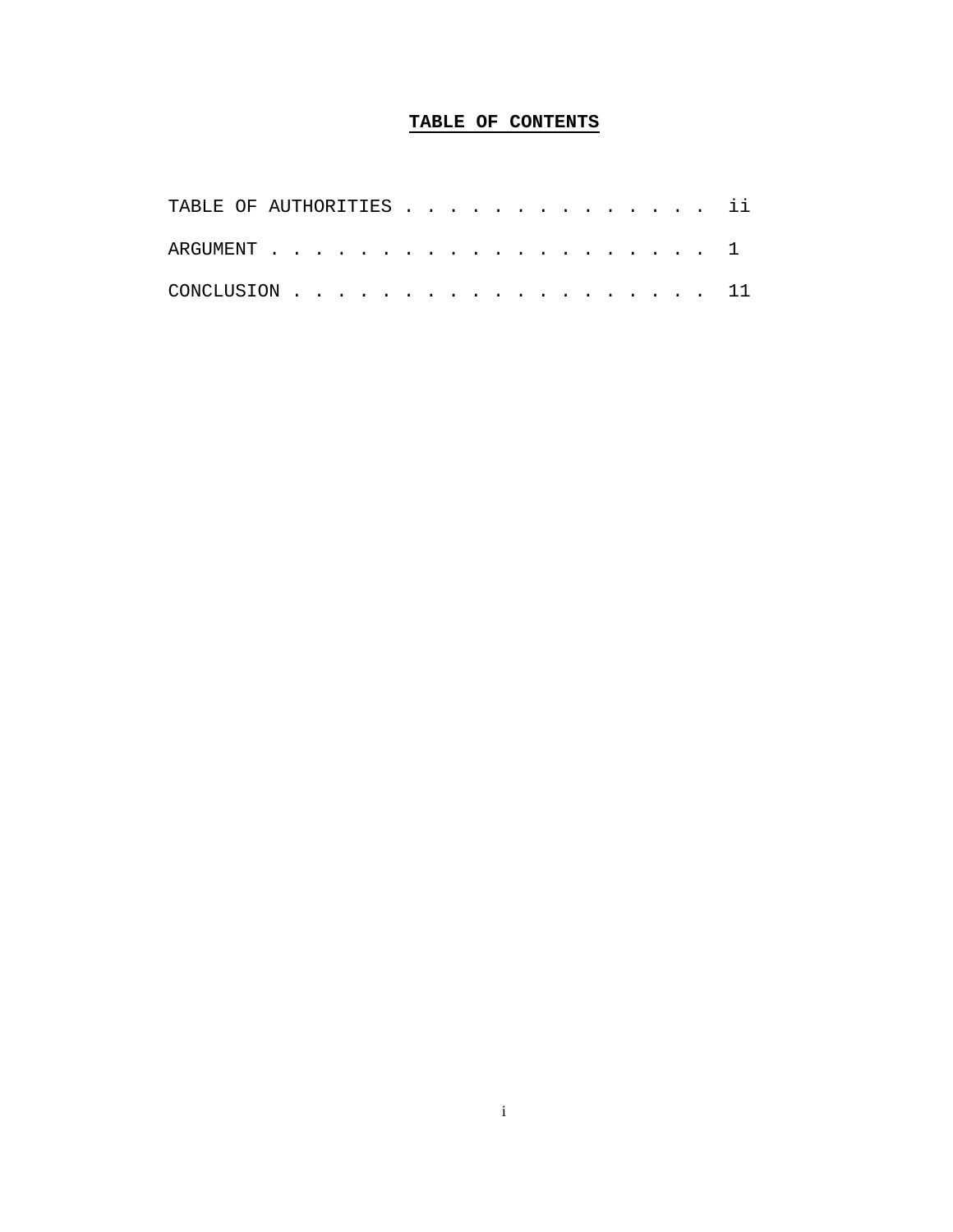# **TABLE OF CONTENTS**

| TABLE OF AUTHORITIES ii |  |  |  |  |  |  |  |  |  |  |
|-------------------------|--|--|--|--|--|--|--|--|--|--|
|                         |  |  |  |  |  |  |  |  |  |  |
| CONCLUSION $\ldots$ 11  |  |  |  |  |  |  |  |  |  |  |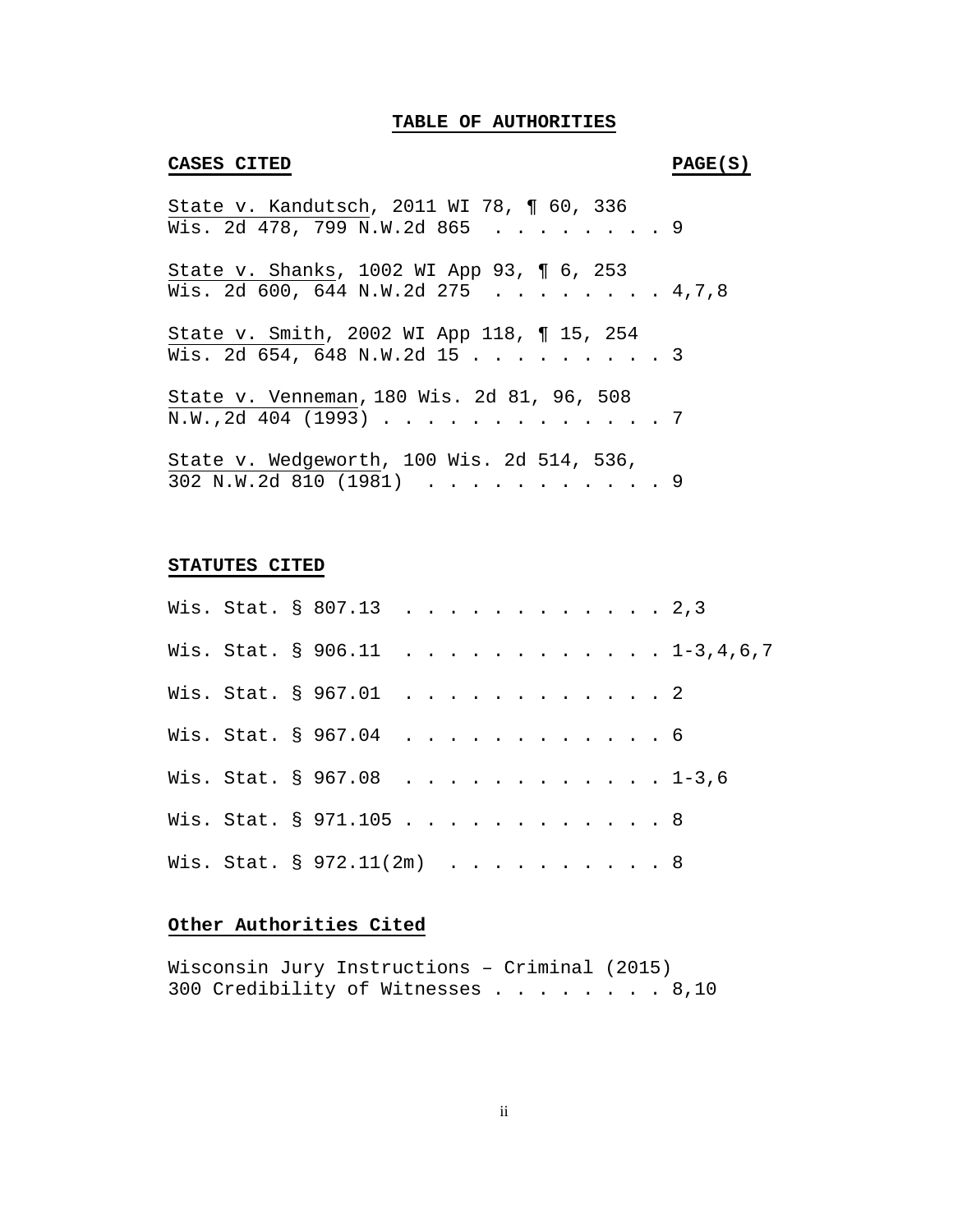# **TABLE OF AUTHORITIES**

#### **CASES CITED PAGE(S)**

| State v. Kandutsch, 2011 WI 78, ¶ 60, 336                                      |  |
|--------------------------------------------------------------------------------|--|
| Wis. 2d 478, 799 N.W.2d 865 9                                                  |  |
| State v. Shanks, 1002 WI App 93, 1 6, 253<br>Wis. 2d 600, 644 N.W.2d 275 4,7,8 |  |
| State v. Smith, 2002 WI App 118, 15, 254<br>Wis. 2d 654, 648 N.W.2d 15 3       |  |
| State v. Venneman, 180 Wis. 2d 81, 96, 508<br>N.W., 2d 404 (1993) 7            |  |
| State v. Wedgeworth, 100 Wis. 2d 514, 536,<br>302 N.W.2d 810 (1981) 9          |  |

#### **STATUTES CITED**

|  | Wis. Stat. § 807.13 2,3   |  |  |  |  |  |  |                               |
|--|---------------------------|--|--|--|--|--|--|-------------------------------|
|  |                           |  |  |  |  |  |  | Wis. Stat. § 906.11 1-3,4,6,7 |
|  | Wis. Stat. § 967.01 2     |  |  |  |  |  |  |                               |
|  | Wis. Stat. § 967.04 6     |  |  |  |  |  |  |                               |
|  | Wis. Stat. § 967.08 1-3,6 |  |  |  |  |  |  |                               |
|  | Wis. Stat. § 971.105 8    |  |  |  |  |  |  |                               |
|  | Wis. Stat. § 972.11(2m) 8 |  |  |  |  |  |  |                               |

# **Other Authorities Cited**

Wisconsin Jury Instructions – Criminal (2015) 300 Credibility of Witnesses . . . . . . . . 8,10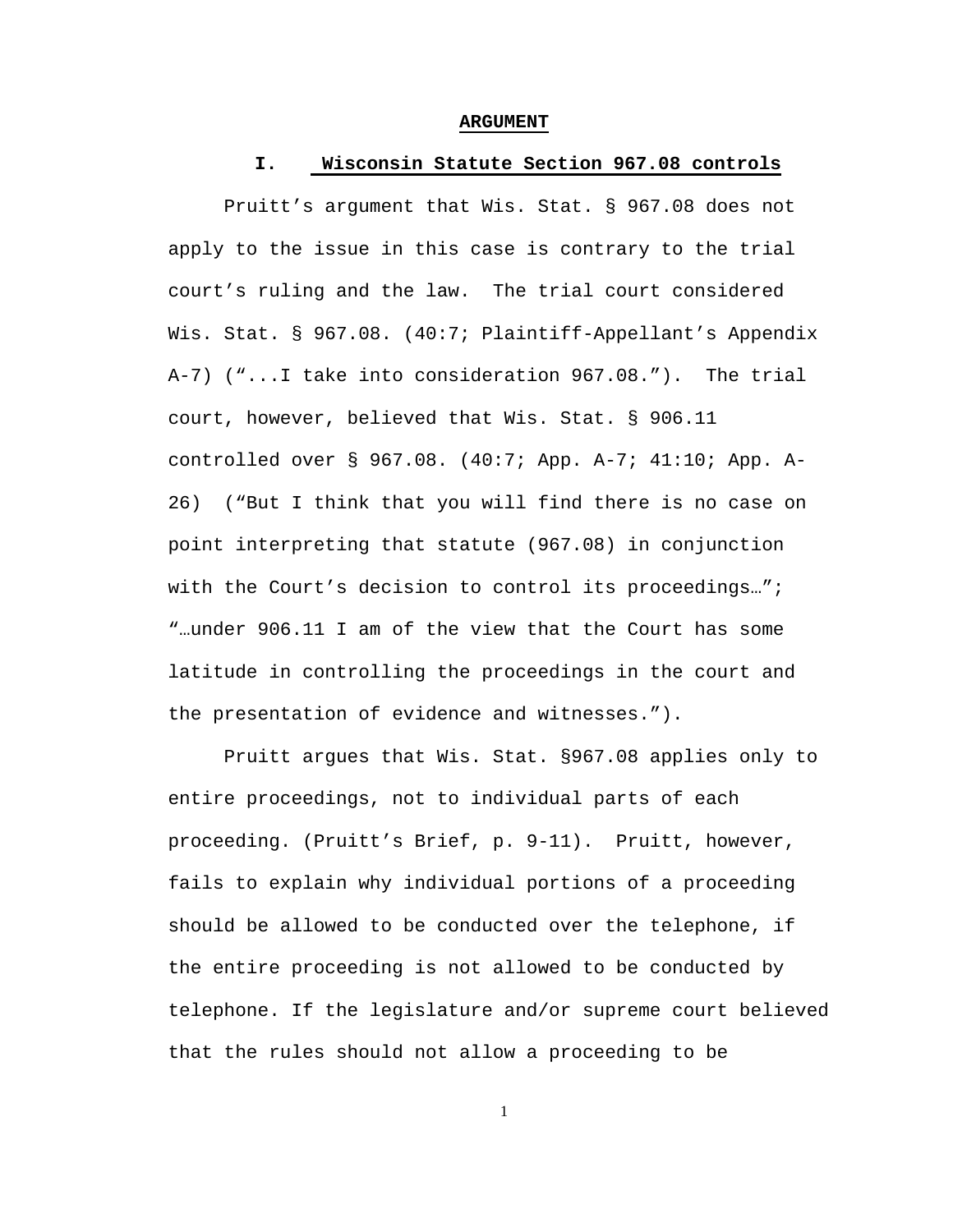#### **ARGUMENT**

#### **I. Wisconsin Statute Section 967.08 controls**

Pruitt's argument that Wis. Stat. § 967.08 does not apply to the issue in this case is contrary to the trial court's ruling and the law. The trial court considered Wis. Stat. § 967.08. (40:7; Plaintiff-Appellant's Appendix A-7) ("...I take into consideration 967.08."). The trial court, however, believed that Wis. Stat. § 906.11 controlled over § 967.08. (40:7; App. A-7; 41:10; App. A-26) ("But I think that you will find there is no case on point interpreting that statute (967.08) in conjunction with the Court's decision to control its proceedings..."; "…under 906.11 I am of the view that the Court has some latitude in controlling the proceedings in the court and the presentation of evidence and witnesses.").

Pruitt argues that Wis. Stat. §967.08 applies only to entire proceedings, not to individual parts of each proceeding. (Pruitt's Brief, p. 9-11). Pruitt, however, fails to explain why individual portions of a proceeding should be allowed to be conducted over the telephone, if the entire proceeding is not allowed to be conducted by telephone. If the legislature and/or supreme court believed that the rules should not allow a proceeding to be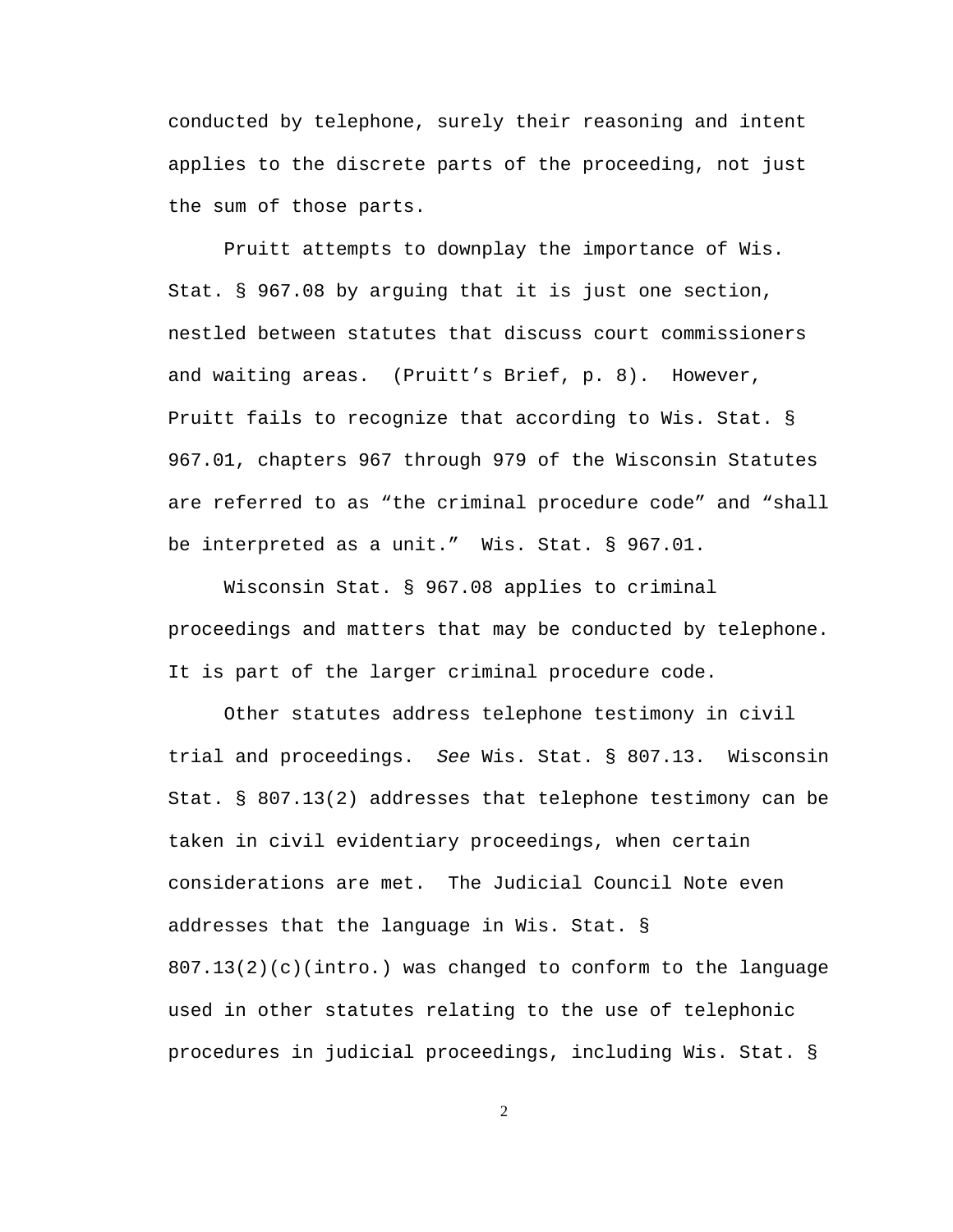conducted by telephone, surely their reasoning and intent applies to the discrete parts of the proceeding, not just the sum of those parts.

Pruitt attempts to downplay the importance of Wis. Stat. § 967.08 by arguing that it is just one section, nestled between statutes that discuss court commissioners and waiting areas. (Pruitt's Brief, p. 8). However, Pruitt fails to recognize that according to Wis. Stat. § 967.01, chapters 967 through 979 of the Wisconsin Statutes are referred to as "the criminal procedure code" and "shall be interpreted as a unit." Wis. Stat. § 967.01.

Wisconsin Stat. § 967.08 applies to criminal proceedings and matters that may be conducted by telephone. It is part of the larger criminal procedure code.

Other statutes address telephone testimony in civil trial and proceedings. *See* Wis. Stat. § 807.13. Wisconsin Stat. § 807.13(2) addresses that telephone testimony can be taken in civil evidentiary proceedings, when certain considerations are met. The Judicial Council Note even addresses that the language in Wis. Stat. § 807.13(2)(c)(intro.) was changed to conform to the language used in other statutes relating to the use of telephonic procedures in judicial proceedings, including Wis. Stat. §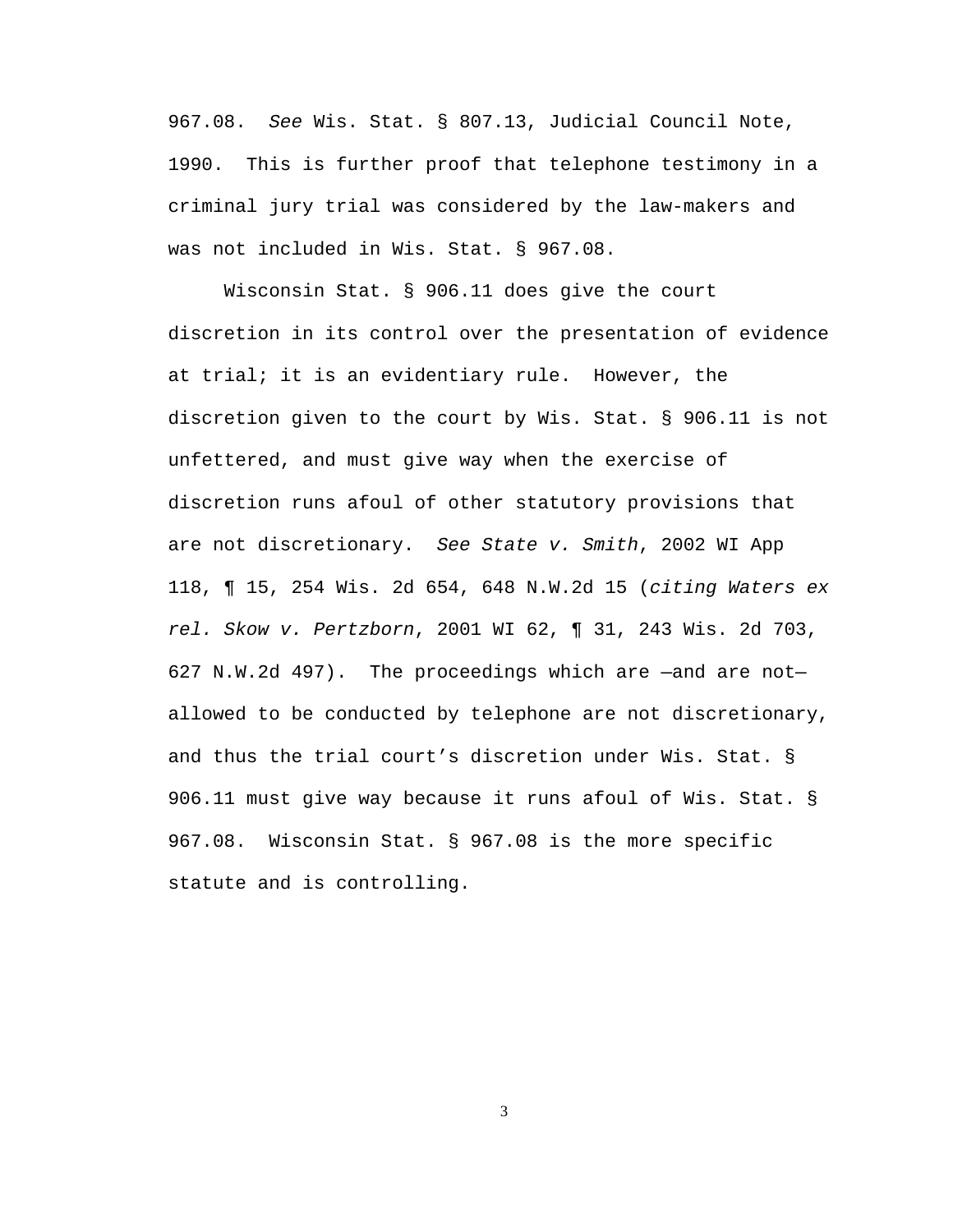967.08. *See* Wis. Stat. § 807.13, Judicial Council Note, 1990. This is further proof that telephone testimony in a criminal jury trial was considered by the law-makers and was not included in Wis. Stat. § 967.08.

Wisconsin Stat. § 906.11 does give the court discretion in its control over the presentation of evidence at trial; it is an evidentiary rule. However, the discretion given to the court by Wis. Stat. § 906.11 is not unfettered, and must give way when the exercise of discretion runs afoul of other statutory provisions that are not discretionary. *See State v. Smith*, 2002 WI App 118, ¶ 15, 254 Wis. 2d 654, 648 N.W.2d 15 (*citing Waters ex rel. Skow v. Pertzborn*, 2001 WI 62, ¶ 31, 243 Wis. 2d 703, 627 N.W.2d 497). The proceedings which are —and are not allowed to be conducted by telephone are not discretionary, and thus the trial court's discretion under Wis. Stat. § 906.11 must give way because it runs afoul of Wis. Stat. § 967.08. Wisconsin Stat. § 967.08 is the more specific statute and is controlling.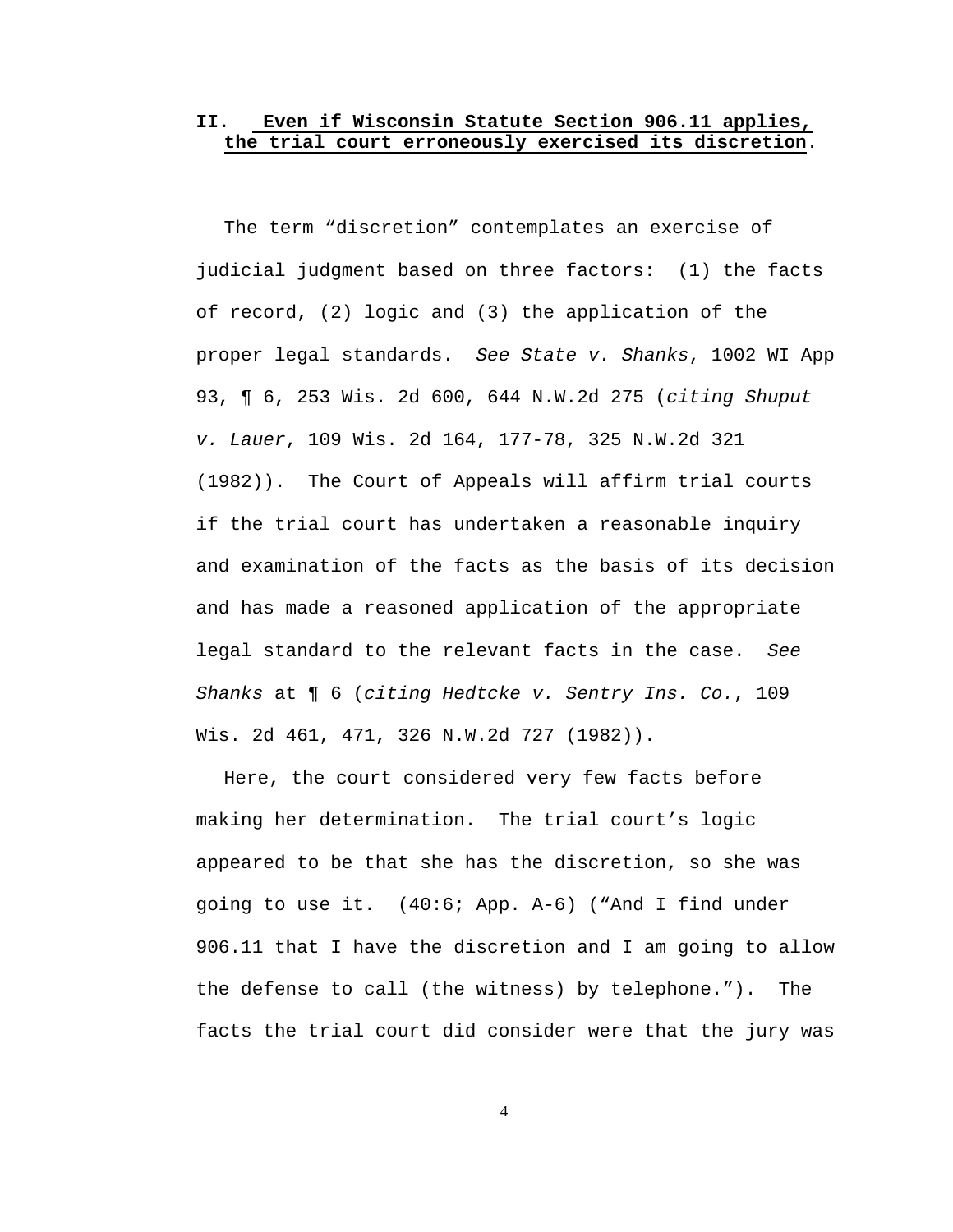# **II. Even if Wisconsin Statute Section 906.11 applies, the trial court erroneously exercised its discretion**.

The term "discretion" contemplates an exercise of judicial judgment based on three factors: (1) the facts of record, (2) logic and (3) the application of the proper legal standards. *See State v. Shanks*, 1002 WI App 93, ¶ 6, 253 Wis. 2d 600, 644 N.W.2d 275 (*citing Shuput v. Lauer*, 109 Wis. 2d 164, 177-78, 325 N.W.2d 321 (1982)). The Court of Appeals will affirm trial courts if the trial court has undertaken a reasonable inquiry and examination of the facts as the basis of its decision and has made a reasoned application of the appropriate legal standard to the relevant facts in the case. *See Shanks* at ¶ 6 (*citing Hedtcke v. Sentry Ins. Co.*, 109 Wis. 2d 461, 471, 326 N.W.2d 727 (1982)).

Here, the court considered very few facts before making her determination. The trial court's logic appeared to be that she has the discretion, so she was going to use it. (40:6; App. A-6) ("And I find under 906.11 that I have the discretion and I am going to allow the defense to call (the witness) by telephone."). The facts the trial court did consider were that the jury was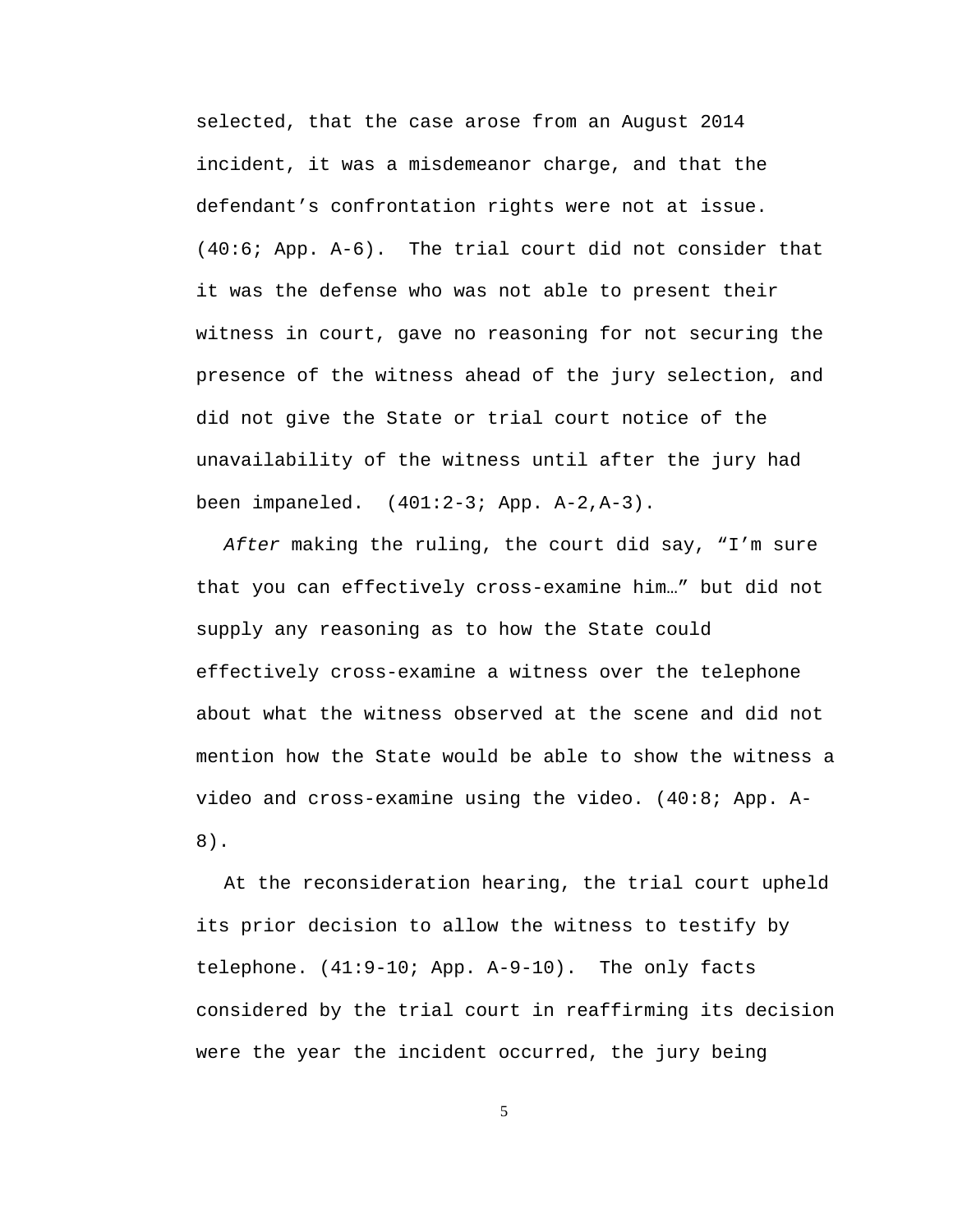selected, that the case arose from an August 2014 incident, it was a misdemeanor charge, and that the defendant's confrontation rights were not at issue. (40:6; App. A-6). The trial court did not consider that it was the defense who was not able to present their witness in court, gave no reasoning for not securing the presence of the witness ahead of the jury selection, and did not give the State or trial court notice of the unavailability of the witness until after the jury had been impaneled. (401:2-3; App. A-2,A-3).

*After* making the ruling, the court did say, "I'm sure that you can effectively cross-examine him…" but did not supply any reasoning as to how the State could effectively cross-examine a witness over the telephone about what the witness observed at the scene and did not mention how the State would be able to show the witness a video and cross-examine using the video. (40:8; App. A-8).

At the reconsideration hearing, the trial court upheld its prior decision to allow the witness to testify by telephone. (41:9-10; App. A-9-10). The only facts considered by the trial court in reaffirming its decision were the year the incident occurred, the jury being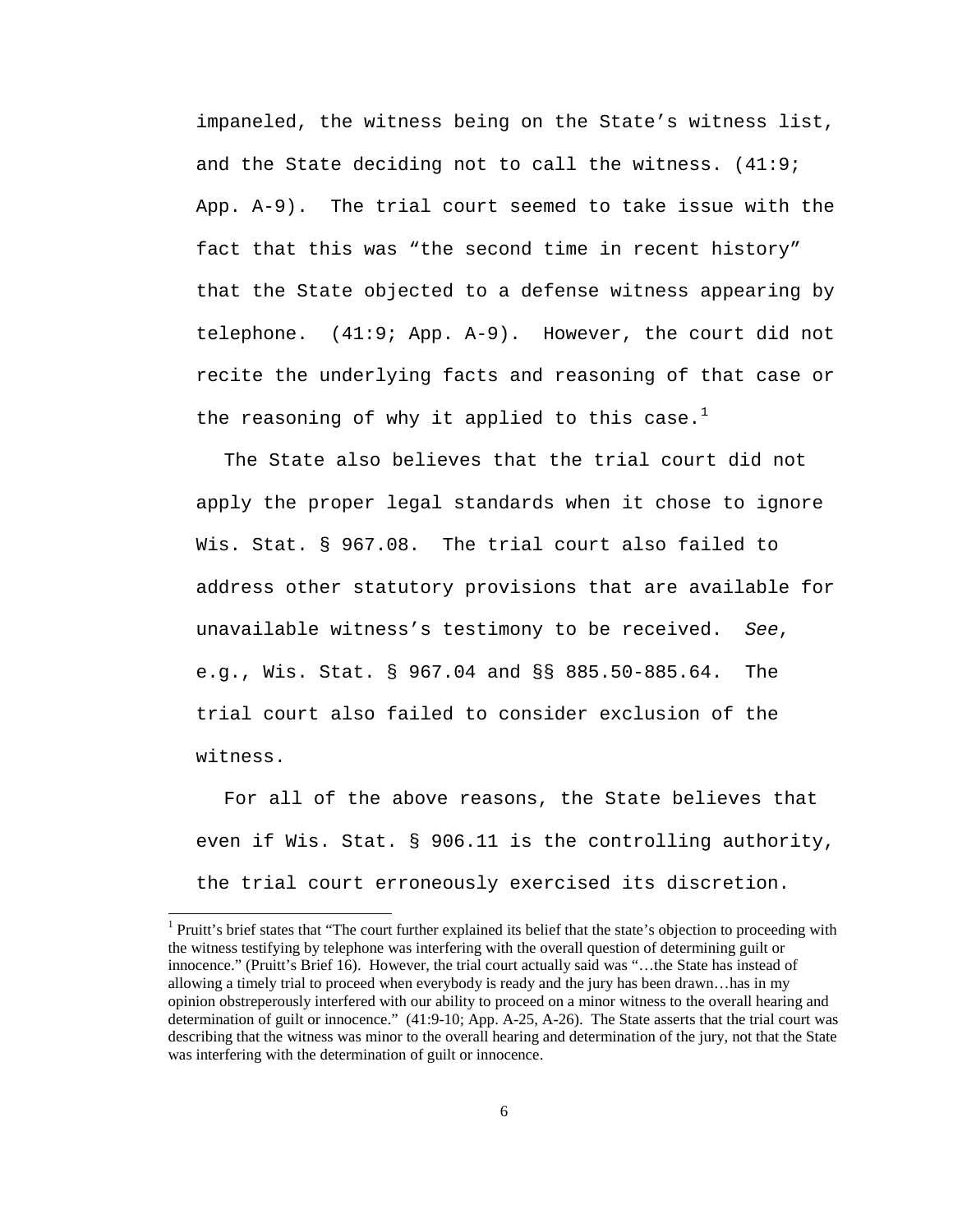impaneled, the witness being on the State's witness list, and the State deciding not to call the witness. (41:9; App. A-9). The trial court seemed to take issue with the fact that this was "the second time in recent history" that the State objected to a defense witness appearing by telephone. (41:9; App. A-9). However, the court did not recite the underlying facts and reasoning of that case or the reasoning of why it applied to this case.<sup>[1](#page-8-0)</sup>

The State also believes that the trial court did not apply the proper legal standards when it chose to ignore Wis. Stat. § 967.08. The trial court also failed to address other statutory provisions that are available for unavailable witness's testimony to be received. *See*, e.g., Wis. Stat. § 967.04 and §§ 885.50-885.64. The trial court also failed to consider exclusion of the witness.

For all of the above reasons, the State believes that even if Wis. Stat. § 906.11 is the controlling authority, the trial court erroneously exercised its discretion.

<span id="page-8-0"></span><sup>&</sup>lt;sup>1</sup> Pruitt's brief states that "The court further explained its belief that the state's objection to proceeding with the witness testifying by telephone was interfering with the overall question of determining guilt or innocence." (Pruitt's Brief 16). However, the trial court actually said was "…the State has instead of allowing a timely trial to proceed when everybody is ready and the jury has been drawn…has in my opinion obstreperously interfered with our ability to proceed on a minor witness to the overall hearing and determination of guilt or innocence." (41:9-10; App. A-25, A-26). The State asserts that the trial court was describing that the witness was minor to the overall hearing and determination of the jury, not that the State was interfering with the determination of guilt or innocence.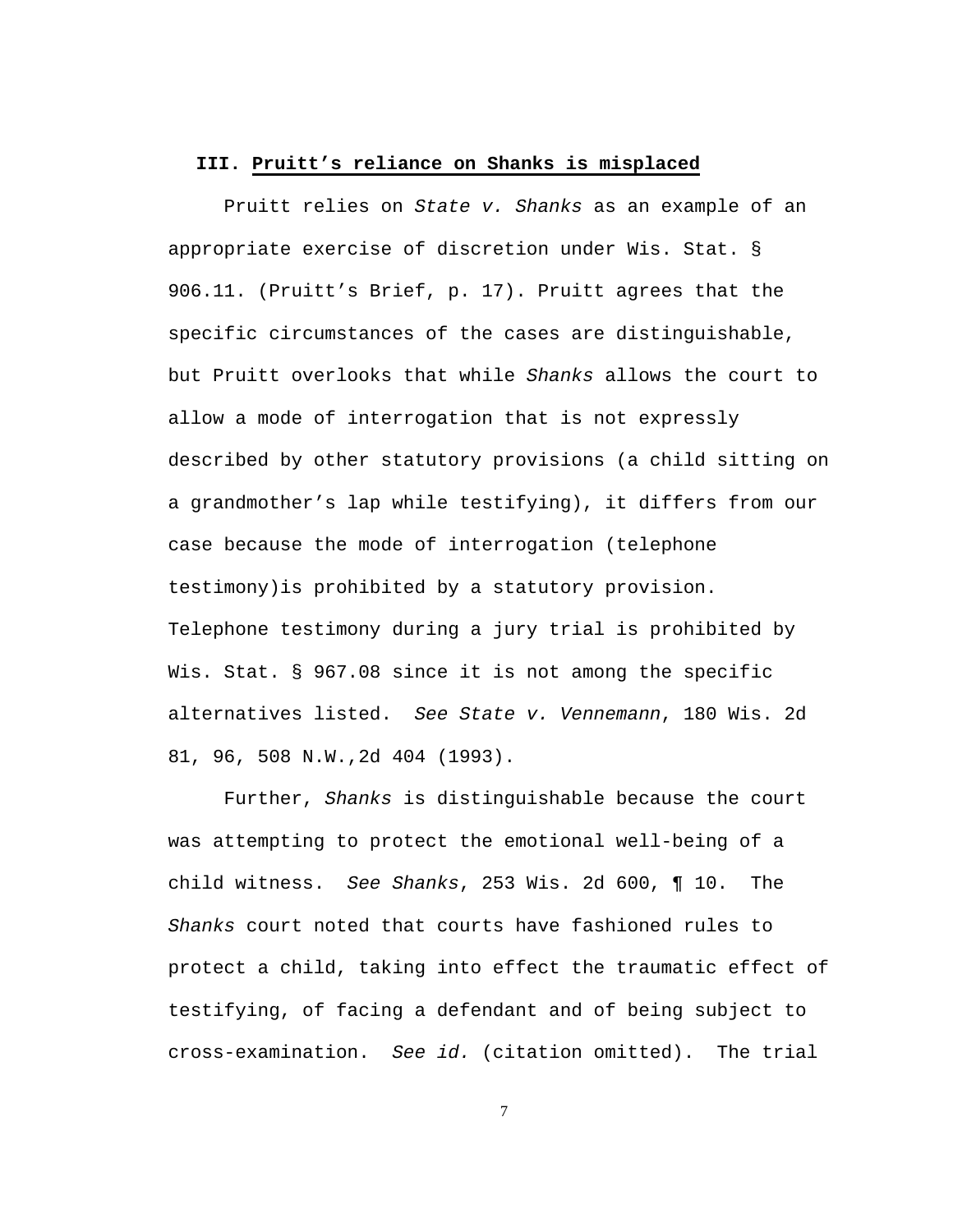#### **III. Pruitt's reliance on Shanks is misplaced**

Pruitt relies on *State v. Shanks* as an example of an appropriate exercise of discretion under Wis. Stat. § 906.11. (Pruitt's Brief, p. 17). Pruitt agrees that the specific circumstances of the cases are distinguishable, but Pruitt overlooks that while *Shanks* allows the court to allow a mode of interrogation that is not expressly described by other statutory provisions (a child sitting on a grandmother's lap while testifying), it differs from our case because the mode of interrogation (telephone testimony)is prohibited by a statutory provision. Telephone testimony during a jury trial is prohibited by Wis. Stat. § 967.08 since it is not among the specific alternatives listed. *See State v. Vennemann*, 180 Wis. 2d 81, 96, 508 N.W.,2d 404 (1993).

Further, *Shanks* is distinguishable because the court was attempting to protect the emotional well-being of a child witness. *See Shanks*, 253 Wis. 2d 600, ¶ 10. The *Shanks* court noted that courts have fashioned rules to protect a child, taking into effect the traumatic effect of testifying, of facing a defendant and of being subject to cross-examination. *See id.* (citation omitted). The trial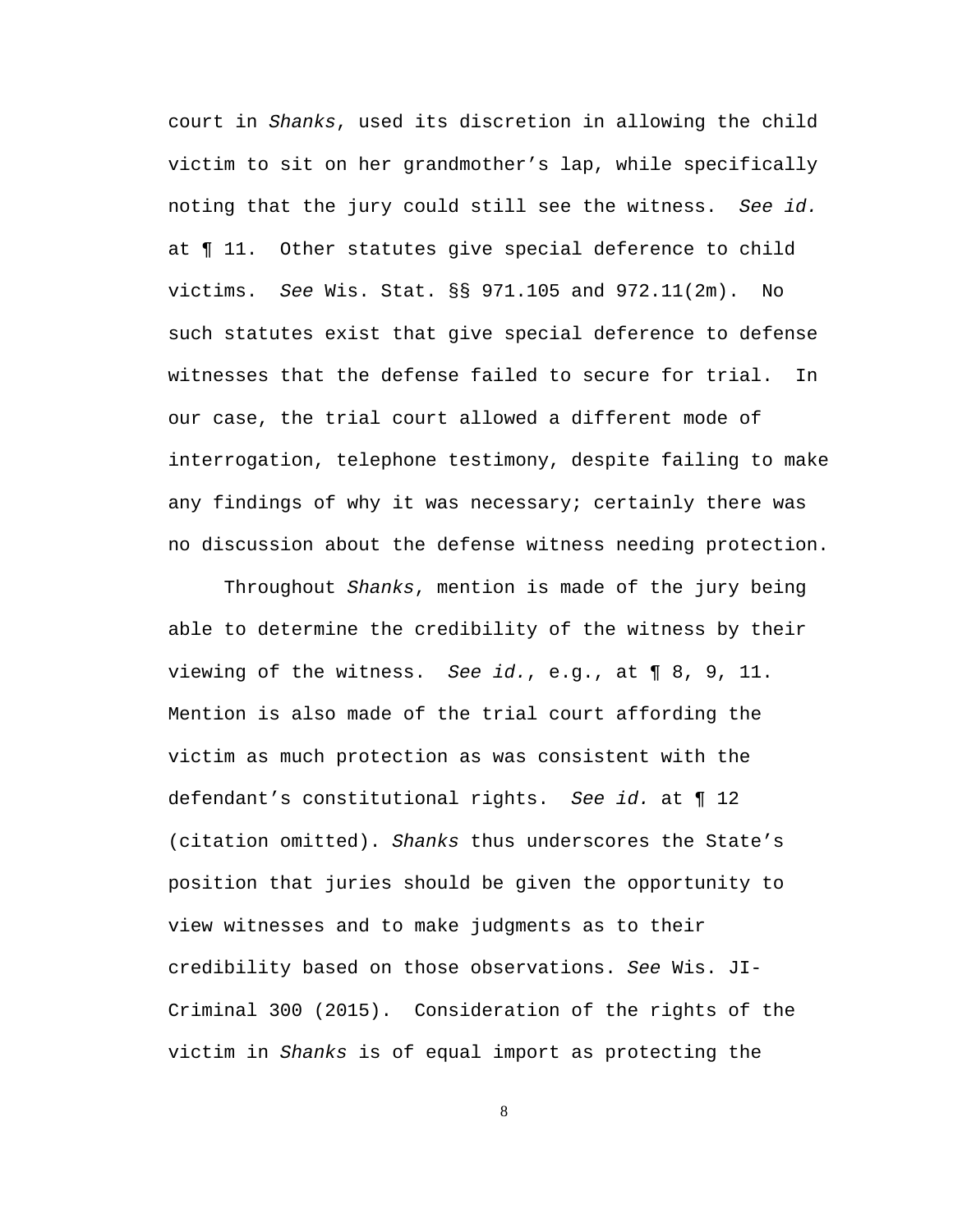court in *Shanks*, used its discretion in allowing the child victim to sit on her grandmother's lap, while specifically noting that the jury could still see the witness. *See id.* at ¶ 11. Other statutes give special deference to child victims. *See* Wis. Stat. §§ 971.105 and 972.11(2m). No such statutes exist that give special deference to defense witnesses that the defense failed to secure for trial. In our case, the trial court allowed a different mode of interrogation, telephone testimony, despite failing to make any findings of why it was necessary; certainly there was no discussion about the defense witness needing protection.

Throughout *Shanks*, mention is made of the jury being able to determine the credibility of the witness by their viewing of the witness. *See id.*, e.g., at ¶ 8, 9, 11. Mention is also made of the trial court affording the victim as much protection as was consistent with the defendant's constitutional rights. *See id.* at ¶ 12 (citation omitted). *Shanks* thus underscores the State's position that juries should be given the opportunity to view witnesses and to make judgments as to their credibility based on those observations. *See* Wis. JI-Criminal 300 (2015). Consideration of the rights of the victim in *Shanks* is of equal import as protecting the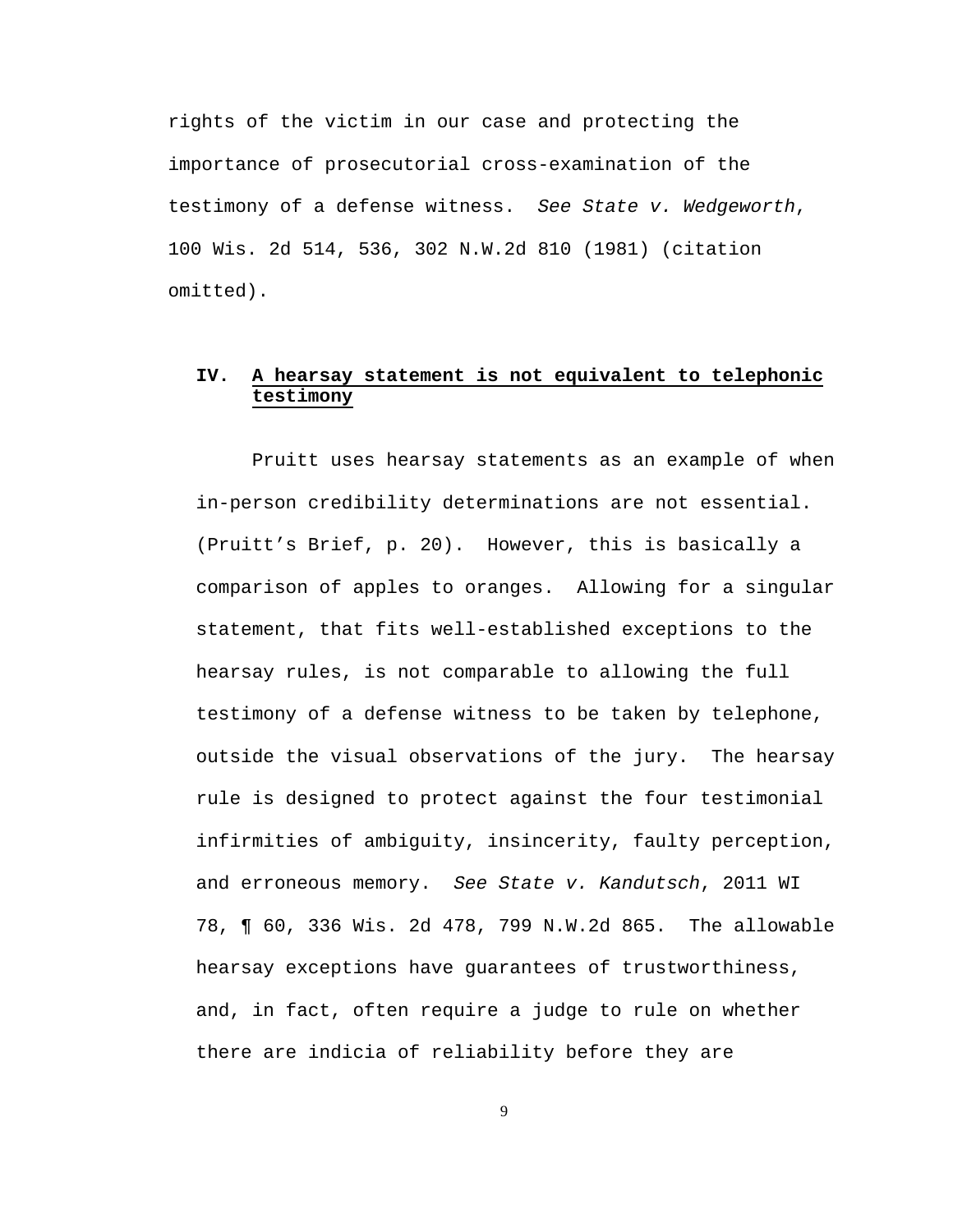rights of the victim in our case and protecting the importance of prosecutorial cross-examination of the testimony of a defense witness. *See State v. Wedgeworth*, 100 Wis. 2d 514, 536, 302 N.W.2d 810 (1981) (citation omitted).

# **IV. A hearsay statement is not equivalent to telephonic testimony**

Pruitt uses hearsay statements as an example of when in-person credibility determinations are not essential. (Pruitt's Brief, p. 20). However, this is basically a comparison of apples to oranges. Allowing for a singular statement, that fits well-established exceptions to the hearsay rules, is not comparable to allowing the full testimony of a defense witness to be taken by telephone, outside the visual observations of the jury. The hearsay rule is designed to protect against the four testimonial infirmities of ambiguity, insincerity, faulty perception, and erroneous memory. *See State v. Kandutsch*, 2011 WI 78, ¶ 60, 336 Wis. 2d 478, 799 N.W.2d 865. The allowable hearsay exceptions have guarantees of trustworthiness, and, in fact, often require a judge to rule on whether there are indicia of reliability before they are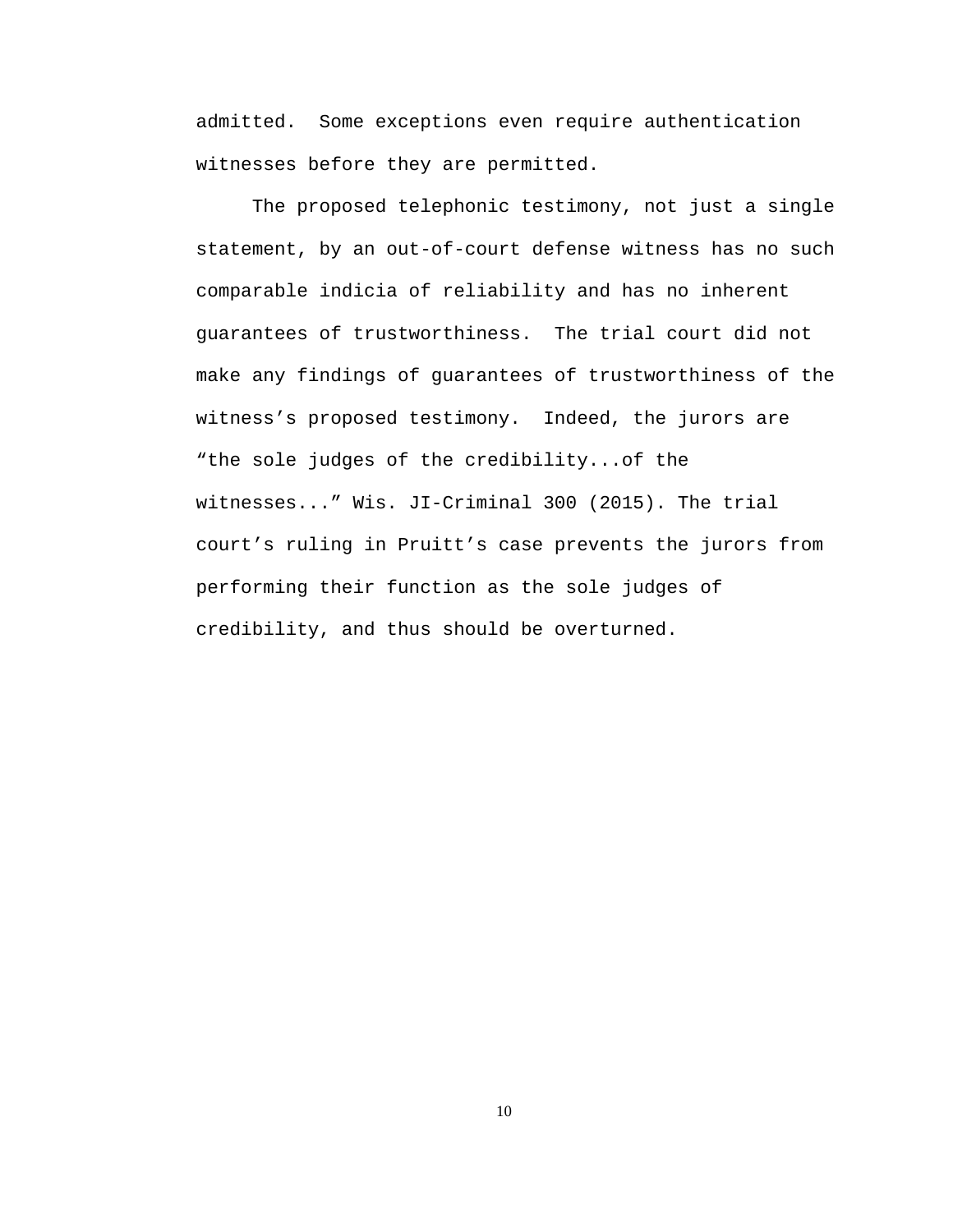admitted. Some exceptions even require authentication witnesses before they are permitted.

The proposed telephonic testimony, not just a single statement, by an out-of-court defense witness has no such comparable indicia of reliability and has no inherent guarantees of trustworthiness. The trial court did not make any findings of guarantees of trustworthiness of the witness's proposed testimony. Indeed, the jurors are "the sole judges of the credibility...of the witnesses..." Wis. JI-Criminal 300 (2015). The trial court's ruling in Pruitt's case prevents the jurors from performing their function as the sole judges of credibility, and thus should be overturned.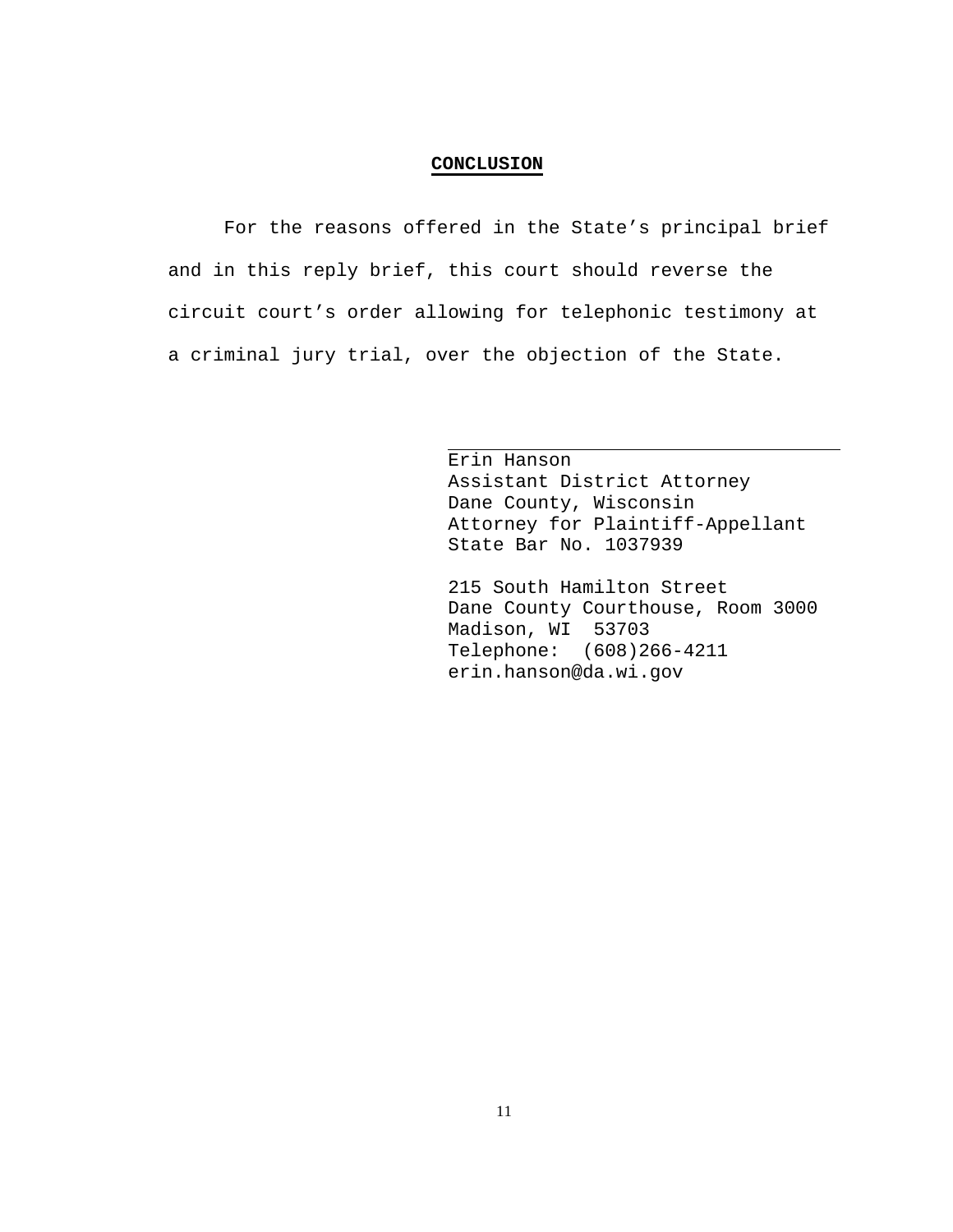### **CONCLUSION**

For the reasons offered in the State's principal brief and in this reply brief, this court should reverse the circuit court's order allowing for telephonic testimony at a criminal jury trial, over the objection of the State.

> Erin Hanson Assistant District Attorney Dane County, Wisconsin Attorney for Plaintiff-Appellant State Bar No. 1037939

215 South Hamilton Street Dane County Courthouse, Room 3000 Madison, WI 53703 Telephone: (608)266-4211 erin.hanson@da.wi.gov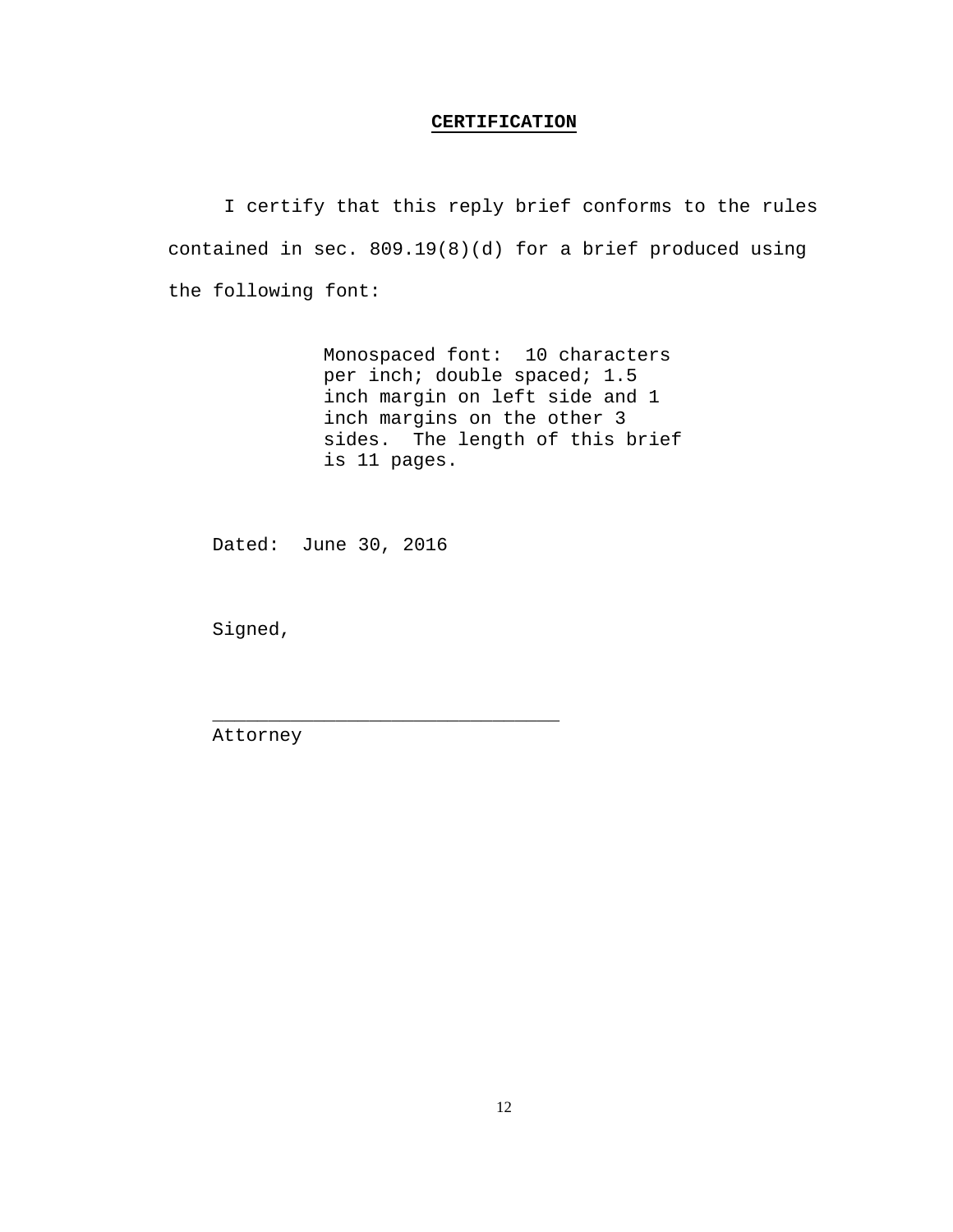#### **CERTIFICATION**

I certify that this reply brief conforms to the rules contained in sec. 809.19(8)(d) for a brief produced using the following font:

> Monospaced font: 10 characters per inch; double spaced; 1.5 inch margin on left side and 1 inch margins on the other 3 sides. The length of this brief is 11 pages.

Dated: June 30, 2016

\_\_\_\_\_\_\_\_\_\_\_\_\_\_\_\_\_\_\_\_\_\_\_\_\_\_\_\_\_\_\_

Signed,

Attorney